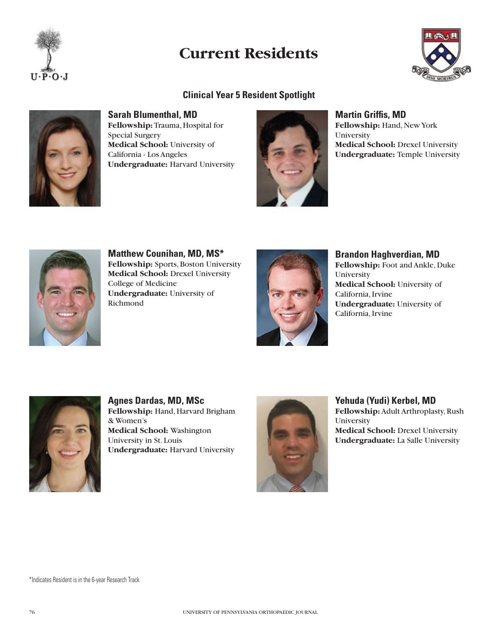

# **Current Residents**

# **Clinical Year 5 Resident Spotlight**



**Sarah Blumenthal, MD Fellowship:** Trauma, Hospital for Special Surgery **Medical School:** University of California - Los Angeles **Undergraduate:** Harvard University



**Martin Griffis, MD Fellowship:** Hand, New York University **Medical School:** Drexel University **Undergraduate:** Temple University



**Matthew Counihan, MD, MS\* Fellowship:** Sports, Boston University **Medical School:** Drexel University College of Medicine **Undergraduate:** University of Richmond



**Brandon Haghverdian, MD Fellowship:** Foot and Ankle, Duke University **Medical School:** University of California, Irvine **Undergraduate:** University of California, Irvine



**Agnes Dardas, MD, MSc Fellowship:** Hand, Harvard Brigham & Women's **Medical School:** Washington University in St. Louis **Undergraduate:** Harvard University



**Yehuda (Yudi) Kerbel, MD Fellowship:** Adult Arthroplasty, Rush University **Medical School:** Drexel University **Undergraduate:** La Salle University

\*Indicates Resident is in the 6-year Research Track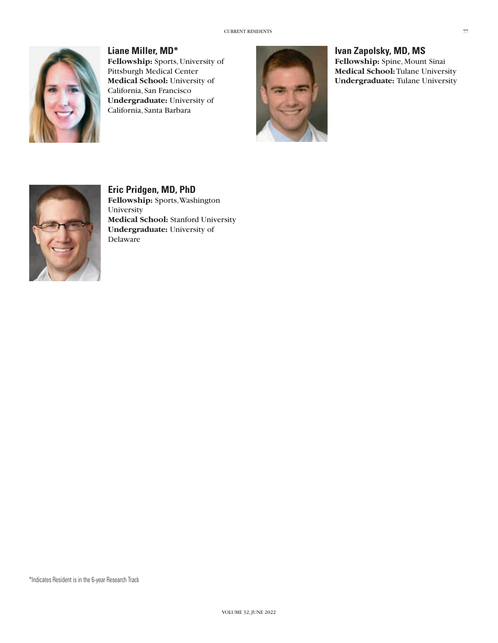

**Liane Miller, MD\* Fellowship:** Sports, University of Pittsburgh Medical Center **Medical School:** University of California, San Francisco **Undergraduate:** University of California, Santa Barbara



**Ivan Zapolsky, MD, MS Fellowship:** Spine, Mount Sinai **Medical School:** Tulane University **Undergraduate:** Tulane University



**Eric Pridgen, MD, PhD Fellowship:** Sports, Washington **University Medical School:** Stanford University **Undergraduate:** University of Delaware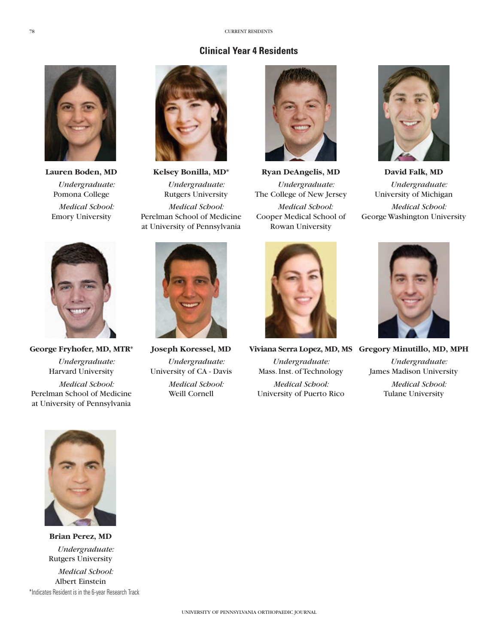# **Clinical Year 4 Residents**



*Undergraduate:*  Pomona College *Medical School:*  Emory University



**Lauren Boden, MD Kelsey Bonilla, MD\* Ryan DeAngelis, MD David Falk, MD** *Undergraduate:*  Rutgers University *Medical School:*  Perelman School of Medicine





*Undergraduate:* The College of New Jersey *Medical School:* Cooper Medical School of Rowan University



*Undergraduate:* University of Michigan *Medical School:* George Washington University



*Undergraduate:*  Harvard University *Medical School:*

Perelman School of Medicine at University of Pennsylvania



*Undergraduate:* University of CA - Davis *Medical School:* Weill Cornell



# **George Fryhofer, MD, MTR\* Joseph Koressel, MD Viviana Serra Lopez, MD, MS Gregory Minutillo, MD, MPH**

*Undergraduate:* Mass. Inst. of Technology *Medical School:* University of Puerto Rico



*Undergraduate:* James Madison University

> *Medical School:*  Tulane University



**Brian Perez, MD** *Undergraduate:*  Rutgers University

*Medical School:* Albert Einstein \*Indicates Resident is in the 6-year Research Track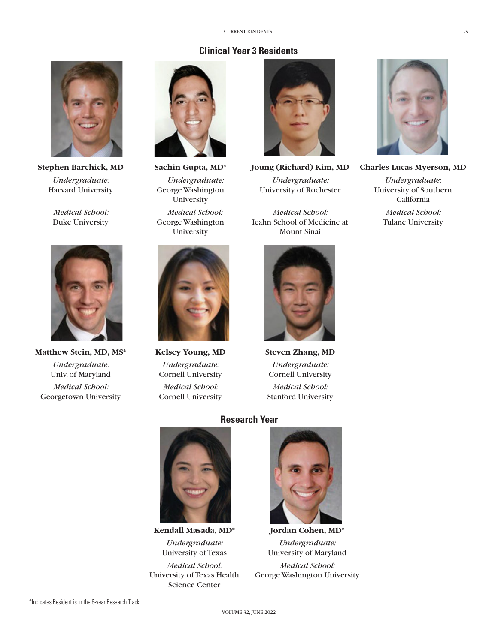## **Clinical Year 3 Residents**



*Undergraduate:*  Harvard University

*Medical School:*  Duke University



Matthew Stein, MD, MS\* Kelsey Young, MD Steven Zhang, MD *Undergraduate:*  Univ. of Maryland *Medical School:* Georgetown University



*Undergraduate:* George Washington University *Medical School:* George Washington **University** 



*Undergraduate:* Cornell University *Medical School:* Cornell University



**Stephen Barchick, MD Sachin Gupta, MD\* Joung (Richard) Kim, MD Charles Lucas Myerson, MD** *Undergraduate:* University of Rochester

*Medical School:* Icahn School of Medicine at Mount Sinai



*Undergraduate:* Cornell University *Medical School:* Stanford University



### **Research Year**



**Kendall Masada, MD\* Jordan Cohen, MD\*** *Undergraduate:*  University of Texas

*Medical School:* University of Texas Health Science Center



*Undergraduate:*  University of Maryland

*Medical School:* George Washington University



*Undergraduate*: University of Southern California *Medical School:* Tulane University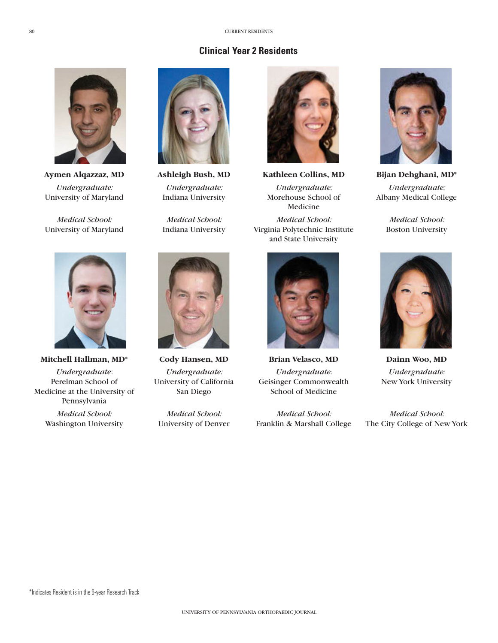# **Clinical Year 2 Residents**



*Undergraduate:*  University of Maryland

*Medical School:*  University of Maryland



Indiana University



*Undergraduate:* Morehouse School of Medicine *Medical School:* Virginia Polytechnic Institute and State University



*Undergraduate:*  Albany Medical College

*Medical School:* Boston University



**Mitchell Hallman, MD\* Cody Hansen, MD Brian Velasco, MD Dainn Woo, MD**

*Undergraduate*: Perelman School of Medicine at the University of Pennsylvania *Medical School:* Washington University



*Undergraduate:* University of California San Diego

*Medical School:*  University of Denver



*Undergraduate:* Geisinger Commonwealth School of Medicine

*Medical School:* Franklin & Marshall College



*Undergraduate:* New York University

*Medical School:* The City College of New York